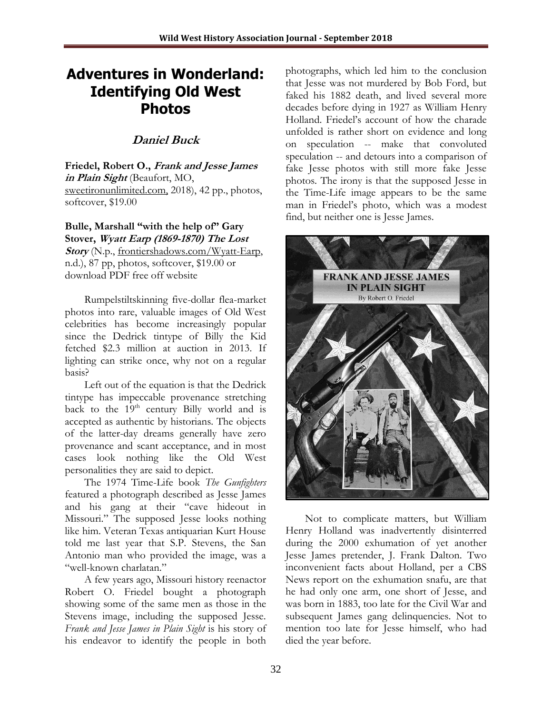## **Adventures in Wonderland: Identifying Old West Photos**

## **Daniel Buck**

**Friedel, Robert O., Frank and Jesse James in Plain Sight** (Beaufort, MO, [sweetironunlimited.com,](http://www.sweetironunlimited.com,/) 2018), 42 pp., photos, softcover, \$19.00

**Bulle, Marshall "with the help of" Gary Stover, Wyatt Earp (1869-1870) The Lost Story** (N.p., frontiershadows.com/Wyatt-Earp, n.d.), 87 pp, photos, softcover, \$19.00 or

download PDF free off website

Rumpelstiltskinning five-dollar flea-market photos into rare, valuable images of Old West celebrities has become increasingly popular since the Dedrick tintype of Billy the Kid fetched \$2.3 million at auction in 2013. If lighting can strike once, why not on a regular basis?

Left out of the equation is that the Dedrick tintype has impeccable provenance stretching back to the  $19<sup>th</sup>$  century Billy world and is accepted as authentic by historians. The objects of the latter-day dreams generally have zero provenance and scant acceptance, and in most cases look nothing like the Old West personalities they are said to depict.

The 1974 Time-Life book *The Gunfighters* featured a photograph described as Jesse James and his gang at their "cave hideout in Missouri." The supposed Jesse looks nothing like him. Veteran Texas antiquarian Kurt House told me last year that S.P. Stevens, the San Antonio man who provided the image, was a "well-known charlatan."

A few years ago, Missouri history reenactor Robert O. Friedel bought a photograph showing some of the same men as those in the Stevens image, including the supposed Jesse. *Frank and Jesse James in Plain Sight* is his story of his endeavor to identify the people in both

photographs, which led him to the conclusion that Jesse was not murdered by Bob Ford, but faked his 1882 death, and lived several more decades before dying in 1927 as William Henry Holland. Friedel's account of how the charade unfolded is rather short on evidence and long on speculation -- make that convoluted speculation -- and detours into a comparison of fake Jesse photos with still more fake Jesse photos. The irony is that the supposed Jesse in the Time-Life image appears to be the same man in Friedel's photo, which was a modest find, but neither one is Jesse James.



Not to complicate matters, but William Henry Holland was inadvertently disinterred during the 2000 exhumation of yet another Jesse James pretender, J. Frank Dalton. Two inconvenient facts about Holland, per a CBS News report on the exhumation snafu, are that he had only one arm, one short of Jesse, and was born in 1883, too late for the Civil War and subsequent James gang delinquencies. Not to mention too late for Jesse himself, who had died the year before.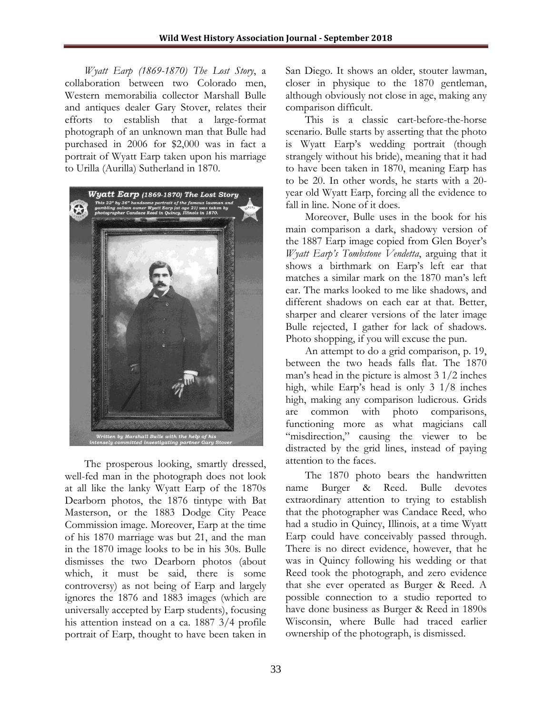*Wyatt Earp (1869-1870) The Lost Story*, a collaboration between two Colorado men, Western memorabilia collector Marshall Bulle and antiques dealer Gary Stover, relates their efforts to establish that a large-format photograph of an unknown man that Bulle had purchased in 2006 for \$2,000 was in fact a portrait of Wyatt Earp taken upon his marriage to Urilla (Aurilla) Sutherland in 1870.



The prosperous looking, smartly dressed, well-fed man in the photograph does not look at all like the lanky Wyatt Earp of the 1870s Dearborn photos, the 1876 tintype with Bat Masterson, or the 1883 Dodge City Peace Commission image. Moreover, Earp at the time of his 1870 marriage was but 21, and the man in the 1870 image looks to be in his 30s. Bulle dismisses the two Dearborn photos (about which, it must be said, there is some controversy) as not being of Earp and largely ignores the 1876 and 1883 images (which are universally accepted by Earp students), focusing his attention instead on a ca. 1887 3/4 profile portrait of Earp, thought to have been taken in

San Diego. It shows an older, stouter lawman, closer in physique to the 1870 gentleman, although obviously not close in age, making any comparison difficult.

This is a classic cart-before-the-horse scenario. Bulle starts by asserting that the photo is Wyatt Earp's wedding portrait (though strangely without his bride), meaning that it had to have been taken in 1870, meaning Earp has to be 20. In other words, he starts with a 20 year old Wyatt Earp, forcing all the evidence to fall in line. None of it does.

Moreover, Bulle uses in the book for his main comparison a dark, shadowy version of the 1887 Earp image copied from Glen Boyer's *Wyatt Earp's Tombstone Vendetta*, arguing that it shows a birthmark on Earp's left ear that matches a similar mark on the 1870 man's left ear. The marks looked to me like shadows, and different shadows on each ear at that. Better, sharper and clearer versions of the later image Bulle rejected, I gather for lack of shadows. Photo shopping, if you will excuse the pun.

An attempt to do a grid comparison, p. 19, between the two heads falls flat. The 1870 man's head in the picture is almost 3 1/2 inches high, while Earp's head is only 3 1/8 inches high, making any comparison ludicrous. Grids are common with photo comparisons, functioning more as what magicians call "misdirection," causing the viewer to be distracted by the grid lines, instead of paying attention to the faces.

The 1870 photo bears the handwritten name Burger & Reed. Bulle devotes extraordinary attention to trying to establish that the photographer was Candace Reed, who had a studio in Quincy, Illinois, at a time Wyatt Earp could have conceivably passed through. There is no direct evidence, however, that he was in Quincy following his wedding or that Reed took the photograph, and zero evidence that she ever operated as Burger & Reed. A possible connection to a studio reported to have done business as Burger & Reed in 1890s Wisconsin, where Bulle had traced earlier ownership of the photograph, is dismissed.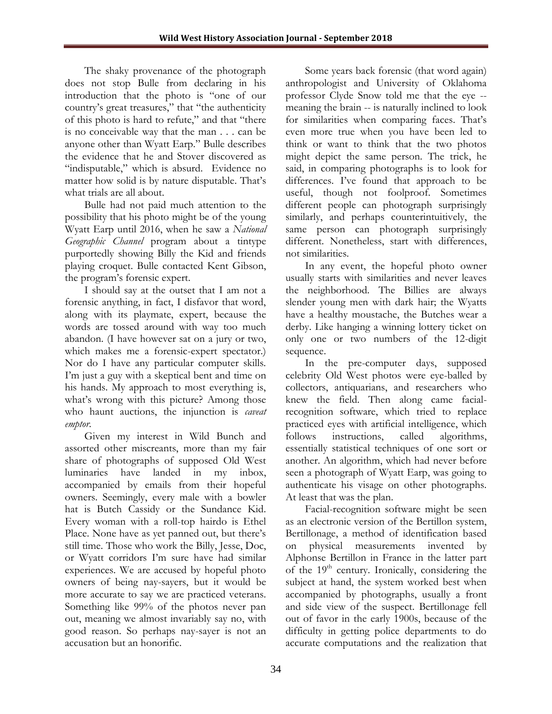The shaky provenance of the photograph does not stop Bulle from declaring in his introduction that the photo is "one of our country's great treasures," that "the authenticity of this photo is hard to refute," and that "there is no conceivable way that the man . . . can be anyone other than Wyatt Earp." Bulle describes the evidence that he and Stover discovered as "indisputable," which is absurd. Evidence no matter how solid is by nature disputable. That's what trials are all about.

Bulle had not paid much attention to the possibility that his photo might be of the young Wyatt Earp until 2016, when he saw a *National Geographic Channel* program about a tintype purportedly showing Billy the Kid and friends playing croquet. Bulle contacted Kent Gibson, the program's forensic expert.

I should say at the outset that I am not a forensic anything, in fact, I disfavor that word, along with its playmate, expert, because the words are tossed around with way too much abandon. (I have however sat on a jury or two, which makes me a forensic-expert spectator.) Nor do I have any particular computer skills. I'm just a guy with a skeptical bent and time on his hands. My approach to most everything is, what's wrong with this picture? Among those who haunt auctions, the injunction is *caveat emptor*.

Given my interest in Wild Bunch and assorted other miscreants, more than my fair share of photographs of supposed Old West luminaries have landed in my inbox, accompanied by emails from their hopeful owners. Seemingly, every male with a bowler hat is Butch Cassidy or the Sundance Kid. Every woman with a roll-top hairdo is Ethel Place. None have as yet panned out, but there's still time. Those who work the Billy, Jesse, Doc, or Wyatt corridors I'm sure have had similar experiences. We are accused by hopeful photo owners of being nay-sayers, but it would be more accurate to say we are practiced veterans. Something like 99% of the photos never pan out, meaning we almost invariably say no, with good reason. So perhaps nay-sayer is not an accusation but an honorific.

Some years back forensic (that word again) anthropologist and University of Oklahoma professor Clyde Snow told me that the eye - meaning the brain -- is naturally inclined to look for similarities when comparing faces. That's even more true when you have been led to think or want to think that the two photos might depict the same person. The trick, he said, in comparing photographs is to look for differences. I've found that approach to be useful, though not foolproof. Sometimes different people can photograph surprisingly similarly, and perhaps counterintuitively, the same person can photograph surprisingly different. Nonetheless, start with differences, not similarities.

In any event, the hopeful photo owner usually starts with similarities and never leaves the neighborhood. The Billies are always slender young men with dark hair; the Wyatts have a healthy moustache, the Butches wear a derby. Like hanging a winning lottery ticket on only one or two numbers of the 12-digit sequence.

In the pre-computer days, supposed celebrity Old West photos were eye-balled by collectors, antiquarians, and researchers who knew the field. Then along came facialrecognition software, which tried to replace practiced eyes with artificial intelligence, which follows instructions, called algorithms, essentially statistical techniques of one sort or another. An algorithm, which had never before seen a photograph of Wyatt Earp, was going to authenticate his visage on other photographs. At least that was the plan.

Facial-recognition software might be seen as an electronic version of the Bertillon system, Bertillonage, a method of identification based on physical measurements invented by Alphonse Bertillon in France in the latter part of the  $19<sup>th</sup>$  century. Ironically, considering the subject at hand, the system worked best when accompanied by photographs, usually a front and side view of the suspect. Bertillonage fell out of favor in the early 1900s, because of the difficulty in getting police departments to do accurate computations and the realization that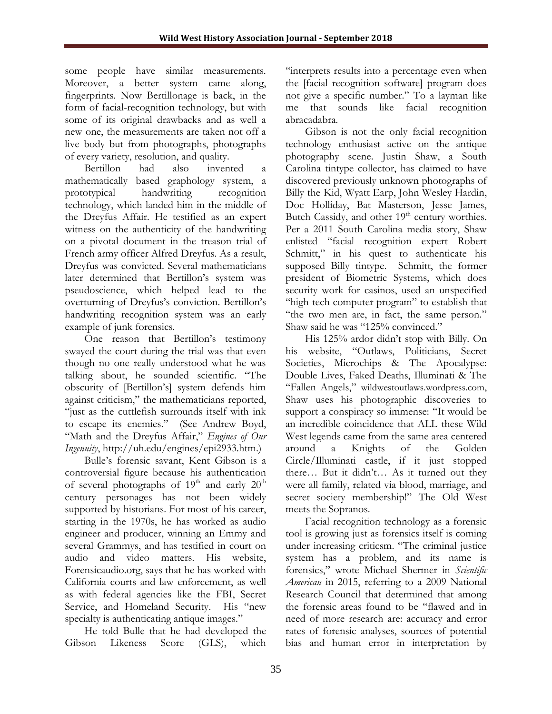some people have similar measurements. Moreover, a better system came along, fingerprints. Now Bertillonage is back, in the form of facial-recognition technology, but with some of its original drawbacks and as well a new one, the measurements are taken not off a live body but from photographs, photographs of every variety, resolution, and quality.

Bertillon had also invented a mathematically based graphology system, a prototypical handwriting recognition technology, which landed him in the middle of the Dreyfus Affair. He testified as an expert witness on the authenticity of the handwriting on a pivotal document in the treason trial of French army officer Alfred Dreyfus. As a result, Dreyfus was convicted. Several mathematicians later determined that Bertillon's system was pseudoscience, which helped lead to the overturning of Dreyfus's conviction. Bertillon's handwriting recognition system was an early example of junk forensics.

One reason that Bertillon's testimony swayed the court during the trial was that even though no one really understood what he was talking about, he sounded scientific. "The obscurity of [Bertillon's] system defends him against criticism," the mathematicians reported, "just as the cuttlefish surrounds itself with ink to escape its enemies." (See Andrew Boyd, "Math and the Dreyfus Affair," *Engines of Our Ingenuity*, http://uh.edu/engines/epi2933.htm.)

Bulle's forensic savant, Kent Gibson is a controversial figure because his authentication of several photographs of  $19<sup>th</sup>$  and early  $20<sup>th</sup>$ century personages has not been widely supported by historians. For most of his career, starting in the 1970s, he has worked as audio engineer and producer, winning an Emmy and several Grammys, and has testified in court on audio and video matters. His website, Forensicaudio.org, says that he has worked with California courts and law enforcement, as well as with federal agencies like the FBI, Secret Service, and Homeland Security. His "new specialty is authenticating antique images."

He told Bulle that he had developed the Gibson Likeness Score (GLS), which

"interprets results into a percentage even when the [facial recognition software] program does not give a specific number." To a layman like me that sounds like facial recognition abracadabra.

Gibson is not the only facial recognition technology enthusiast active on the antique photography scene. Justin Shaw, a South Carolina tintype collector, has claimed to have discovered previously unknown photographs of Billy the Kid, Wyatt Earp, John Wesley Hardin, Doc Holliday, Bat Masterson, Jesse James, Butch Cassidy, and other 19<sup>th</sup> century worthies. Per a 2011 South Carolina media story, Shaw enlisted "facial recognition expert Robert Schmitt," in his quest to authenticate his supposed Billy tintype. Schmitt, the former president of Biometric Systems, which does security work for casinos, used an unspecified "high-tech computer program" to establish that "the two men are, in fact, the same person." Shaw said he was "125% convinced."

His 125% ardor didn't stop with Billy. On his website, "Outlaws, Politicians, Secret Societies, Microchips & The Apocalypse: Double Lives, Faked Deaths, Illuminati & The "Fallen Angels," wildwestoutlaws.wordpress.com, Shaw uses his photographic discoveries to support a conspiracy so immense: "It would be an incredible coincidence that ALL these Wild West legends came from the same area centered around a Knights of the Golden Circle/Illuminati castle, if it just stopped there… But it didn't… As it turned out they were all family, related via blood, marriage, and secret society membership!" The Old West meets the Sopranos.

Facial recognition technology as a forensic tool is growing just as forensics itself is coming under increasing criticsm. "The criminal justice system has a problem, and its name is forensics," wrote Michael Shermer in *Scientific American* in 2015, referring to a 2009 National Research Council that determined that among the forensic areas found to be "flawed and in need of more research are: accuracy and error rates of forensic analyses, sources of potential bias and human error in interpretation by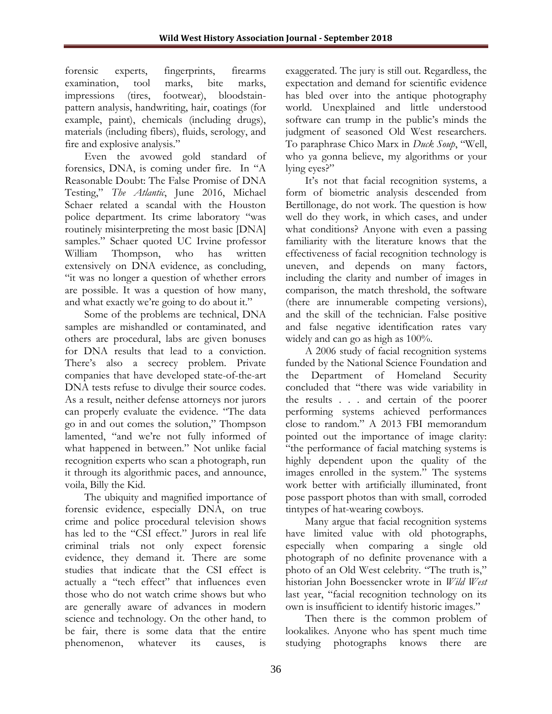forensic experts, fingerprints, firearms examination, tool marks, bite marks, impressions (tires, footwear), bloodstainpattern analysis, handwriting, hair, coatings (for example, paint), chemicals (including drugs), materials (including fibers), fluids, serology, and fire and explosive analysis."

Even the avowed gold standard of forensics, DNA, is coming under fire. In "A Reasonable Doubt: The False Promise of DNA Testing," *The Atlantic*, June 2016, Michael Schaer related a scandal with the Houston police department. Its crime laboratory "was routinely misinterpreting the most basic [DNA] samples." Schaer quoted UC Irvine professor William Thompson, who has written extensively on DNA evidence, as concluding, "it was no longer a question of whether errors are possible. It was a question of how many, and what exactly we're going to do about it."

Some of the problems are technical, DNA samples are mishandled or contaminated, and others are procedural, labs are given bonuses for DNA results that lead to a conviction. There's also a secrecy problem. Private companies that have developed state-of-the-art DNA tests refuse to divulge their source codes. As a result, neither defense attorneys nor jurors can properly evaluate the evidence. "The data go in and out comes the solution," Thompson lamented, "and we're not fully informed of what happened in between." Not unlike facial recognition experts who scan a photograph, run it through its algorithmic paces, and announce, voila, Billy the Kid.

The ubiquity and magnified importance of forensic evidence, especially DNA, on true crime and police procedural television shows has led to the "CSI effect." Jurors in real life criminal trials not only expect forensic evidence, they demand it. There are some studies that indicate that the CSI effect is actually a "tech effect" that influences even those who do not watch crime shows but who are generally aware of advances in modern science and technology. On the other hand, to be fair, there is some data that the entire phenomenon, whatever its causes, is

exaggerated. The jury is still out. Regardless, the expectation and demand for scientific evidence has bled over into the antique photography world. Unexplained and little understood software can trump in the public's minds the judgment of seasoned Old West researchers. To paraphrase Chico Marx in *Duck Soup*, "Well, who ya gonna believe, my algorithms or your lying eyes?"

It's not that facial recognition systems, a form of biometric analysis descended from Bertillonage, do not work. The question is how well do they work, in which cases, and under what conditions? Anyone with even a passing familiarity with the literature knows that the effectiveness of facial recognition technology is uneven, and depends on many factors, including the clarity and number of images in comparison, the match threshold, the software (there are innumerable competing versions), and the skill of the technician. False positive and false negative identification rates vary widely and can go as high as 100%.

A 2006 study of facial recognition systems funded by the National Science Foundation and the Department of Homeland Security concluded that "there was wide variability in the results . . . and certain of the poorer performing systems achieved performances close to random." A 2013 FBI memorandum pointed out the importance of image clarity: "the performance of facial matching systems is highly dependent upon the quality of the images enrolled in the system." The systems work better with artificially illuminated, front pose passport photos than with small, corroded tintypes of hat-wearing cowboys.

Many argue that facial recognition systems have limited value with old photographs, especially when comparing a single old photograph of no definite provenance with a photo of an Old West celebrity. "The truth is," historian John Boessencker wrote in *Wild West* last year, "facial recognition technology on its own is insufficient to identify historic images."

Then there is the common problem of lookalikes. Anyone who has spent much time studying photographs knows there are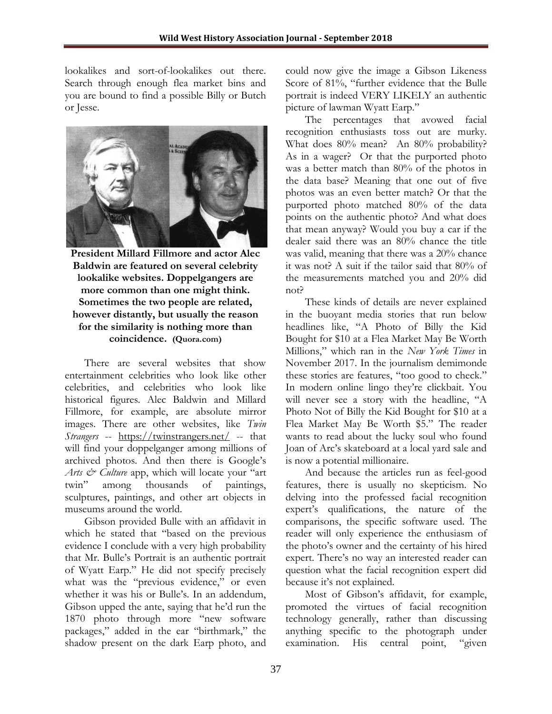lookalikes and sort-of-lookalikes out there. Search through enough flea market bins and you are bound to find a possible Billy or Butch or Jesse.



**President Millard Fillmore and actor Alec Baldwin are featured on several celebrity lookalike websites. Doppelgangers are more common than one might think. Sometimes the two people are related, however distantly, but usually the reason for the similarity is nothing more than coincidence. (Quora.com)**

There are several websites that show entertainment celebrities who look like other celebrities, and celebrities who look like historical figures. Alec Baldwin and Millard Fillmore, for example, are absolute mirror images. There are other websites, like *Twin Strangers* -- <https://twinstrangers.net/> -- that will find your doppelganger among millions of archived photos. And then there is Google's *Arts & Culture* app, which will locate your "art twin" among thousands of paintings, sculptures, paintings, and other art objects in museums around the world.

Gibson provided Bulle with an affidavit in which he stated that "based on the previous evidence I conclude with a very high probability that Mr. Bulle's Portrait is an authentic portrait of Wyatt Earp." He did not specify precisely what was the "previous evidence," or even whether it was his or Bulle's. In an addendum, Gibson upped the ante, saying that he'd run the 1870 photo through more "new software packages," added in the ear "birthmark," the shadow present on the dark Earp photo, and

could now give the image a Gibson Likeness Score of 81%, "further evidence that the Bulle portrait is indeed VERY LIKELY an authentic picture of lawman Wyatt Earp."

The percentages that avowed facial recognition enthusiasts toss out are murky. What does 80% mean? An 80% probability? As in a wager? Or that the purported photo was a better match than 80% of the photos in the data base? Meaning that one out of five photos was an even better match? Or that the purported photo matched 80% of the data points on the authentic photo? And what does that mean anyway? Would you buy a car if the dealer said there was an 80% chance the title was valid, meaning that there was a 20% chance it was not? A suit if the tailor said that 80% of the measurements matched you and 20% did not?

These kinds of details are never explained in the buoyant media stories that run below headlines like, "A Photo of Billy the Kid Bought for \$10 at a Flea Market May Be Worth Millions," which ran in the *New York Times* in November 2017. In the journalism demimonde these stories are features, "too good to check." In modern online lingo they're clickbait. You will never see a story with the headline, "A Photo Not of Billy the Kid Bought for \$10 at a Flea Market May Be Worth \$5." The reader wants to read about the lucky soul who found Joan of Arc's skateboard at a local yard sale and is now a potential millionaire.

And because the articles run as feel-good features, there is usually no skepticism. No delving into the professed facial recognition expert's qualifications, the nature of the comparisons, the specific software used. The reader will only experience the enthusiasm of the photo's owner and the certainty of his hired expert. There's no way an interested reader can question what the facial recognition expert did because it's not explained.

Most of Gibson's affidavit, for example, promoted the virtues of facial recognition technology generally, rather than discussing anything specific to the photograph under examination. His central point, "given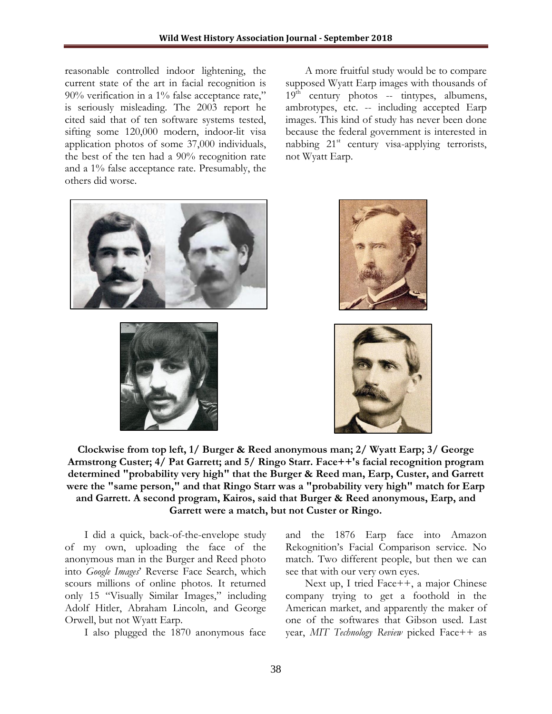reasonable controlled indoor lightening, the current state of the art in facial recognition is 90% verification in a 1% false acceptance rate," is seriously misleading. The 2003 report he cited said that of ten software systems tested, sifting some 120,000 modern, indoor-lit visa application photos of some 37,000 individuals, the best of the ten had a 90% recognition rate and a 1% false acceptance rate. Presumably, the others did worse.

A more fruitful study would be to compare supposed Wyatt Earp images with thousands of  $19<sup>th</sup>$  century photos -- tintypes, albumens, ambrotypes, etc. -- including accepted Earp images. This kind of study has never been done because the federal government is interested in nabbing  $21^{st}$  century visa-applying terrorists, not Wyatt Earp.









**Clockwise from top left, 1/ Burger & Reed anonymous man; 2/ Wyatt Earp; 3/ George Armstrong Custer; 4/ Pat Garrett; and 5/ Ringo Starr. Face++'s facial recognition program determined "probability very high" that the Burger & Reed man, Earp, Custer, and Garrett were the "same person," and that Ringo Starr was a "probability very high" match for Earp and Garrett. A second program, Kairos, said that Burger & Reed anonymous, Earp, and Garrett were a match, but not Custer or Ringo.**

I did a quick, back-of-the-envelope study of my own, uploading the face of the anonymous man in the Burger and Reed photo into *Google Images*' Reverse Face Search, which scours millions of online photos. It returned only 15 "Visually Similar Images," including Adolf Hitler, Abraham Lincoln, and George Orwell, but not Wyatt Earp.

I also plugged the 1870 anonymous face

and the 1876 Earp face into Amazon Rekognition's Facial Comparison service. No match. Two different people, but then we can see that with our very own eyes.

Next up, I tried Face++, a major Chinese company trying to get a foothold in the American market, and apparently the maker of one of the softwares that Gibson used. Last year, *MIT Technology Review* picked Face++ as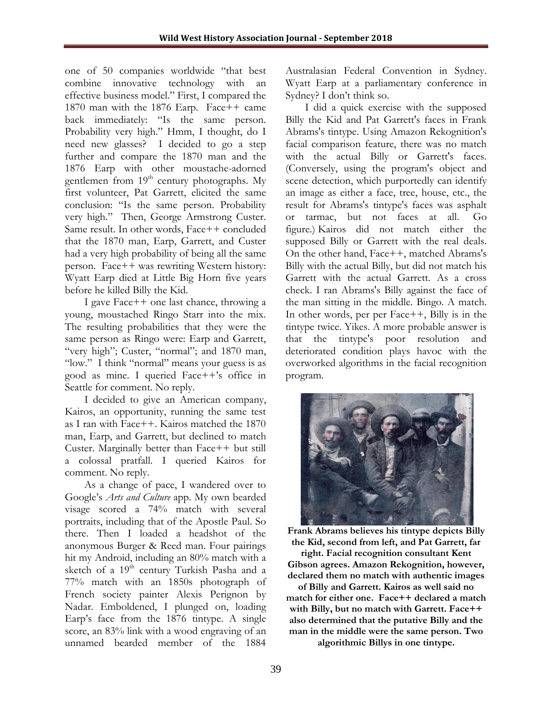one of 50 companies worldwide "that best combine innovative technology with an effective business model." First, I compared the 1870 man with the 1876 Earp. Face++ came back immediately: "Is the same person. Probability very high." Hmm, I thought, do I need new glasses? I decided to go a step further and compare the 1870 man and the 1876 Earp with other moustache-adorned gentlemen from 19<sup>th</sup> century photographs. My first volunteer, Pat Garrett, elicited the same conclusion: "Is the same person. Probability very high." Then, George Armstrong Custer. Same result. In other words, Face++ concluded that the 1870 man, Earp, Garrett, and Custer had a very high probability of being all the same person. Face++ was rewriting Western history: Wyatt Earp died at Little Big Horn five years before he killed Billy the Kid.

I gave Face++ one last chance, throwing a young, moustached Ringo Starr into the mix. The resulting probabilities that they were the same person as Ringo were: Earp and Garrett, "very high"; Custer, "normal"; and 1870 man, "low." I think "normal" means your guess is as good as mine. I queried Face++'s office in Seattle for comment. No reply.

I decided to give an American company, Kairos, an opportunity, running the same test as I ran with Face++. Kairos matched the 1870 man, Earp, and Garrett, but declined to match Custer. Marginally better than Face++ but still a colossal pratfall. I queried Kairos for comment. No reply.

As a change of pace, I wandered over to Google's *Arts and Culture* app. My own bearded visage scored a 74% match with several portraits, including that of the Apostle Paul. So there. Then I loaded a headshot of the anonymous Burger & Reed man. Four pairings hit my Android, including an 80% match with a sketch of a  $19<sup>th</sup>$  century Turkish Pasha and a 77% match with an 1850s photograph of French society painter Alexis Perignon by Nadar. Emboldened, I plunged on, loading Earp's face from the 1876 tintype. A single score, an 83% link with a wood engraving of an unnamed bearded member of the 1884

Australasian Federal Convention in Sydney. Wyatt Earp at a parliamentary conference in Sydney? I don't think so.

I did a quick exercise with the supposed Billy the Kid and Pat Garrett's faces in Frank Abrams's tintype. Using Amazon Rekognition's facial comparison feature, there was no match with the actual Billy or Garrett's faces. (Conversely, using the program's object and scene detection, which purportedly can identify an image as either a face, tree, house, etc., the result for Abrams's tintype's faces was asphalt or tarmac, but not faces at all. Go figure.) Kairos did not match either the supposed Billy or Garrett with the real deals. On the other hand, Face++, matched Abrams's Billy with the actual Billy, but did not match his Garrett with the actual Garrett. As a cross check. I ran Abrams's Billy against the face of the man sitting in the middle. Bingo. A match. In other words, per per Face++, Billy is in the tintype twice. Yikes. A more probable answer is that the tintype's poor resolution and deteriorated condition plays havoc with the overworked algorithms in the facial recognition program.



**Frank Abrams believes his tintype depicts Billy the Kid, second from left, and Pat Garrett, far** 

**right. Facial recognition consultant Kent Gibson agrees. Amazon Rekognition, however, declared them no match with authentic images** 

**of Billy and Garrett. Kairos as well said no match for either one. Face++ declared a match with Billy, but no match with Garrett. Face++ also determined that the putative Billy and the man in the middle were the same person. Two** 

**algorithmic Billys in one tintype.**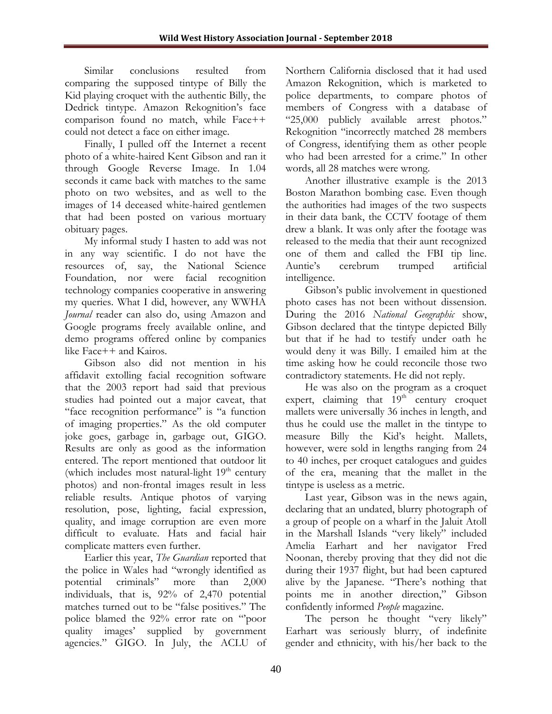Similar conclusions resulted from comparing the supposed tintype of Billy the Kid playing croquet with the authentic Billy, the Dedrick tintype. Amazon Rekognition's face comparison found no match, while Face++ could not detect a face on either image.

Finally, I pulled off the Internet a recent photo of a white-haired Kent Gibson and ran it through Google Reverse Image. In 1.04 seconds it came back with matches to the same photo on two websites, and as well to the images of 14 deceased white-haired gentlemen that had been posted on various mortuary obituary pages.

My informal study I hasten to add was not in any way scientific. I do not have the resources of, say, the National Science Foundation, nor were facial recognition technology companies cooperative in answering my queries. What I did, however, any WWHA *Journal* reader can also do, using Amazon and Google programs freely available online, and demo programs offered online by companies like Face++ and Kairos.

Gibson also did not mention in his affidavit extolling facial recognition software that the 2003 report had said that previous studies had pointed out a major caveat, that "face recognition performance" is "a function of imaging properties." As the old computer joke goes, garbage in, garbage out, GIGO. Results are only as good as the information entered. The report mentioned that outdoor lit (which includes most natural-light  $19<sup>th</sup>$  century photos) and non-frontal images result in less reliable results. Antique photos of varying resolution, pose, lighting, facial expression, quality, and image corruption are even more difficult to evaluate. Hats and facial hair complicate matters even further.

Earlier this year, *The Guardian* reported that the police in Wales had "wrongly identified as potential criminals" more than 2,000 individuals, that is, 92% of 2,470 potential matches turned out to be "false positives." The police blamed the 92% error rate on "'poor quality images' supplied by government agencies." GIGO. In July, the ACLU of Northern California disclosed that it had used Amazon Rekognition, which is marketed to police departments, to compare photos of members of Congress with a database of "25,000 publicly available arrest photos." Rekognition "incorrectly matched 28 members of Congress, identifying them as other people who had been arrested for a crime." In other words, all 28 matches were wrong.

Another illustrative example is the 2013 Boston Marathon bombing case. Even though the authorities had images of the two suspects in their data bank, the CCTV footage of them drew a blank. It was only after the footage was released to the media that their aunt recognized one of them and called the FBI tip line. Auntie's cerebrum trumped artificial intelligence.

Gibson's public involvement in questioned photo cases has not been without dissension. During the 2016 *National Geographic* show, Gibson declared that the tintype depicted Billy but that if he had to testify under oath he would deny it was Billy. I emailed him at the time asking how he could reconcile those two contradictory statements. He did not reply.

He was also on the program as a croquet expert, claiming that  $19<sup>th</sup>$  century croquet mallets were universally 36 inches in length, and thus he could use the mallet in the tintype to measure Billy the Kid's height. Mallets, however, were sold in lengths ranging from 24 to 40 inches, per croquet catalogues and guides of the era, meaning that the mallet in the tintype is useless as a metric.

Last year, Gibson was in the news again, declaring that an undated, blurry photograph of a group of people on a wharf in the Jaluit Atoll in the Marshall Islands "very likely" included Amelia Earhart and her navigator Fred Noonan, thereby proving that they did not die during their 1937 flight, but had been captured alive by the Japanese. "There's nothing that points me in another direction," Gibson confidently informed *People* magazine.

The person he thought "very likely" Earhart was seriously blurry, of indefinite gender and ethnicity, with his/her back to the